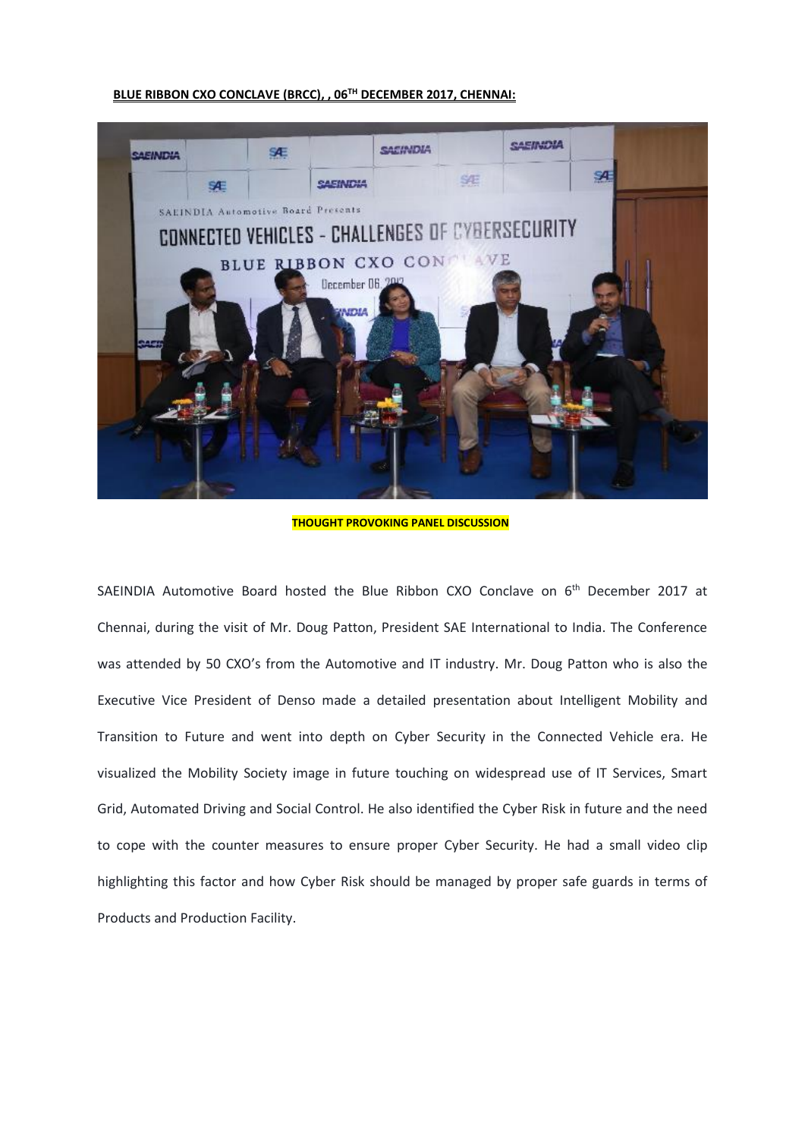## **BLUE RIBBON CXO CONCLAVE (BRCC), , 06TH DECEMBER 2017, CHENNAI:**



**THOUGHT PROVOKING PANEL DISCUSSION**

SAEINDIA Automotive Board hosted the Blue Ribbon CXO Conclave on 6<sup>th</sup> December 2017 at Chennai, during the visit of Mr. Doug Patton, President SAE International to India. The Conference was attended by 50 CXO's from the Automotive and IT industry. Mr. Doug Patton who is also the Executive Vice President of Denso made a detailed presentation about Intelligent Mobility and Transition to Future and went into depth on Cyber Security in the Connected Vehicle era. He visualized the Mobility Society image in future touching on widespread use of IT Services, Smart Grid, Automated Driving and Social Control. He also identified the Cyber Risk in future and the need to cope with the counter measures to ensure proper Cyber Security. He had a small video clip highlighting this factor and how Cyber Risk should be managed by proper safe guards in terms of Products and Production Facility.